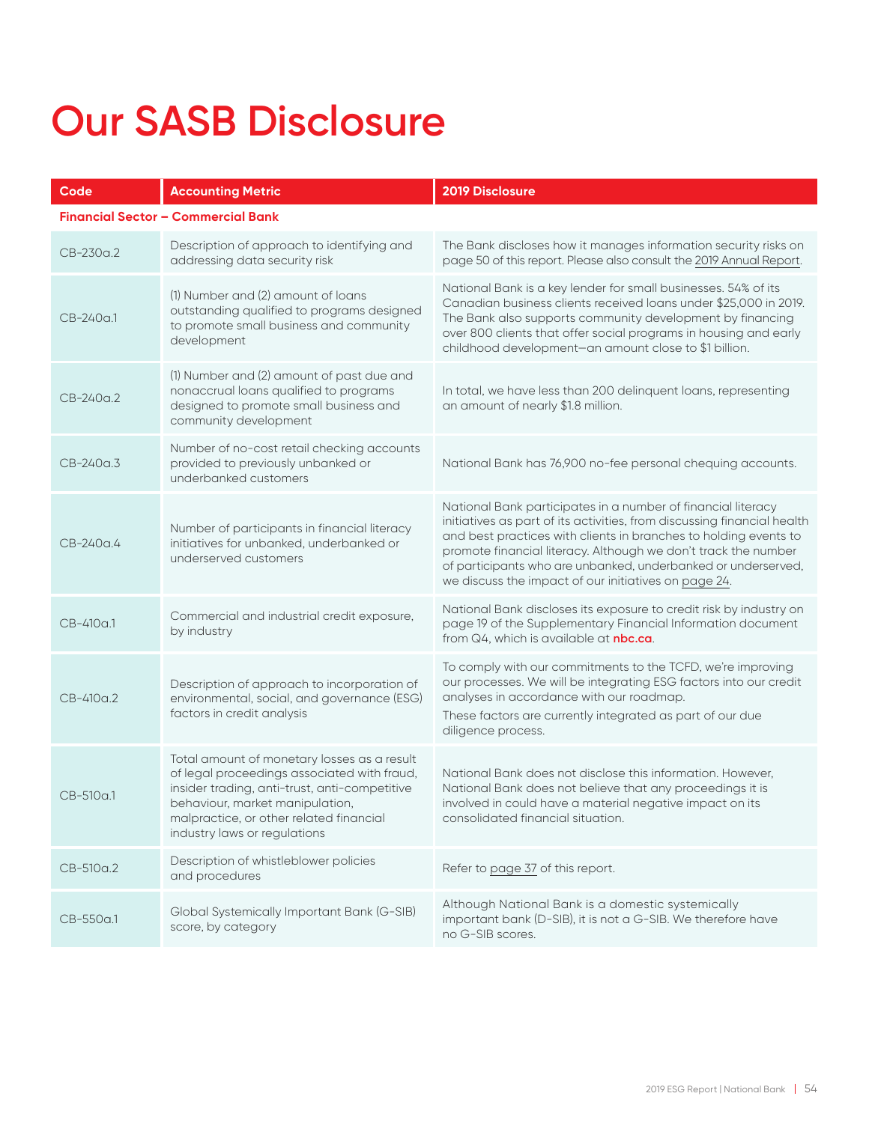## **Our SASB Disclosure**

| Code                                      | <b>Accounting Metric</b>                                                                                                                                                                                                                                  | 2019 Disclosure                                                                                                                                                                                                                                                                                                                                                                                        |  |
|-------------------------------------------|-----------------------------------------------------------------------------------------------------------------------------------------------------------------------------------------------------------------------------------------------------------|--------------------------------------------------------------------------------------------------------------------------------------------------------------------------------------------------------------------------------------------------------------------------------------------------------------------------------------------------------------------------------------------------------|--|
| <b>Financial Sector - Commercial Bank</b> |                                                                                                                                                                                                                                                           |                                                                                                                                                                                                                                                                                                                                                                                                        |  |
| CB-230a.2                                 | Description of approach to identifying and<br>addressing data security risk                                                                                                                                                                               | The Bank discloses how it manages information security risks on<br>page 50 of this report. Please also consult the 2019 Annual Report.                                                                                                                                                                                                                                                                 |  |
| $CB-240a.1$                               | (1) Number and (2) amount of loans<br>outstanding qualified to programs designed<br>to promote small business and community<br>development                                                                                                                | National Bank is a key lender for small businesses. 54% of its<br>Canadian business clients received loans under \$25,000 in 2019.<br>The Bank also supports community development by financing<br>over 800 clients that offer social programs in housing and early<br>childhood development-an amount close to \$1 billion.                                                                           |  |
| CB-240a.2                                 | (1) Number and (2) amount of past due and<br>nonaccrual loans qualified to programs<br>designed to promote small business and<br>community development                                                                                                    | In total, we have less than 200 delinquent loans, representing<br>an amount of nearly \$1.8 million.                                                                                                                                                                                                                                                                                                   |  |
| CB-240a.3                                 | Number of no-cost retail checking accounts<br>provided to previously unbanked or<br>underbanked customers                                                                                                                                                 | National Bank has 76,900 no-fee personal chequing accounts.                                                                                                                                                                                                                                                                                                                                            |  |
| CB-240a.4                                 | Number of participants in financial literacy<br>initiatives for unbanked, underbanked or<br>underserved customers                                                                                                                                         | National Bank participates in a number of financial literacy<br>initiatives as part of its activities, from discussing financial health<br>and best practices with clients in branches to holding events to<br>promote financial literacy. Although we don't track the number<br>of participants who are unbanked, underbanked or underserved,<br>we discuss the impact of our initiatives on page 24. |  |
| CB-410a.1                                 | Commercial and industrial credit exposure,<br>by industry                                                                                                                                                                                                 | National Bank discloses its exposure to credit risk by industry on<br>page 19 of the Supplementary Financial Information document<br>from Q4, which is available at nbc.ca.                                                                                                                                                                                                                            |  |
| CB-410a.2                                 | Description of approach to incorporation of<br>environmental, social, and governance (ESG)<br>factors in credit analysis                                                                                                                                  | To comply with our commitments to the TCFD, we're improving<br>our processes. We will be integrating ESG factors into our credit<br>analyses in accordance with our roadmap.<br>These factors are currently integrated as part of our due<br>diligence process.                                                                                                                                        |  |
| CB-510a.1                                 | Total amount of monetary losses as a result<br>of legal proceedings associated with fraud,<br>insider trading, anti-trust, anti-competitive<br>behaviour, market manipulation,<br>malpractice, or other related financial<br>industry laws or regulations | National Bank does not disclose this information. However,<br>National Bank does not believe that any proceedings it is<br>involved in could have a material negative impact on its<br>consolidated financial situation.                                                                                                                                                                               |  |
| CB-510a.2                                 | Description of whistleblower policies<br>and procedures                                                                                                                                                                                                   | Refer to page 37 of this report.                                                                                                                                                                                                                                                                                                                                                                       |  |
| CB-550a.1                                 | Global Systemically Important Bank (G-SIB)<br>score, by category                                                                                                                                                                                          | Although National Bank is a domestic systemically<br>important bank (D-SIB), it is not a G-SIB. We therefore have<br>no G-SIB scores.                                                                                                                                                                                                                                                                  |  |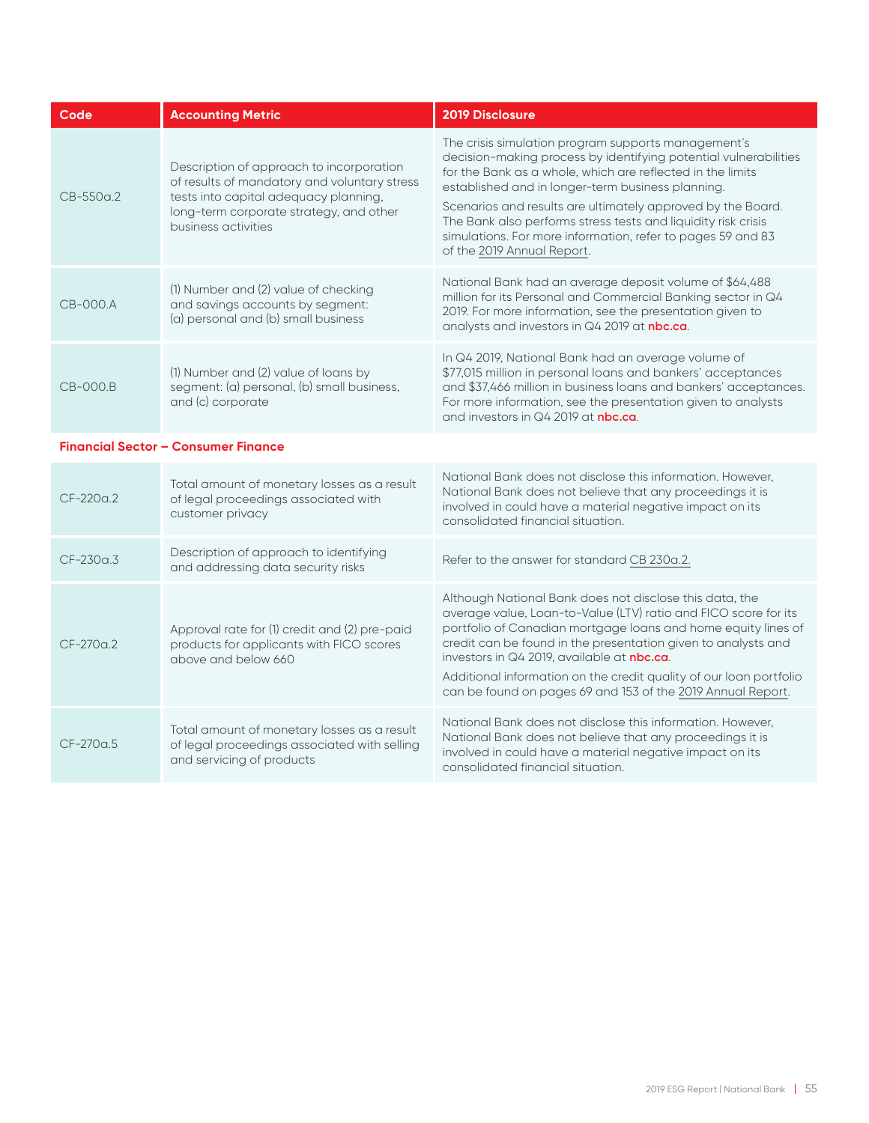| Code        | <b>Accounting Metric</b>                                                                                                                                                                            | 2019 Disclosure                                                                                                                                                                                                                                                                                                                                                                                                                                                         |
|-------------|-----------------------------------------------------------------------------------------------------------------------------------------------------------------------------------------------------|-------------------------------------------------------------------------------------------------------------------------------------------------------------------------------------------------------------------------------------------------------------------------------------------------------------------------------------------------------------------------------------------------------------------------------------------------------------------------|
| $CB-550a.2$ | Description of approach to incorporation<br>of results of mandatory and voluntary stress<br>tests into capital adequacy planning,<br>long-term corporate strategy, and other<br>business activities | The crisis simulation program supports management's<br>decision-making process by identifying potential vulnerabilities<br>for the Bank as a whole, which are reflected in the limits<br>established and in longer-term business planning.<br>Scenarios and results are ultimately approved by the Board.<br>The Bank also performs stress tests and liquidity risk crisis<br>simulations. For more information, refer to pages 59 and 83<br>of the 2019 Annual Report. |
| $CB-OOO.A$  | (1) Number and (2) value of checking<br>and savings accounts by segment:<br>(a) personal and (b) small business                                                                                     | National Bank had an average deposit volume of \$64,488<br>million for its Personal and Commercial Banking sector in Q4<br>2019. For more information, see the presentation given to<br>analysts and investors in Q4 2019 at nbc.ca.                                                                                                                                                                                                                                    |
| $CB-OOO.B$  | (1) Number and (2) value of loans by<br>segment: (a) personal, (b) small business,<br>and (c) corporate                                                                                             | In Q4 2019, National Bank had an average volume of<br>\$77,015 million in personal loans and bankers' acceptances<br>and \$37,466 million in business loans and bankers' acceptances.<br>For more information, see the presentation given to analysts<br>and investors in Q4 2019 at <b>nbc.ca</b> .                                                                                                                                                                    |
|             | <b>Financial Sector - Consumer Finance</b>                                                                                                                                                          |                                                                                                                                                                                                                                                                                                                                                                                                                                                                         |
| $CF-220a.2$ | Total amount of monetary losses as a result<br>of legal proceedings associated with<br>customer privacy                                                                                             | National Bank does not disclose this information. However,<br>National Bank does not believe that any proceedings it is<br>involved in could have a material negative impact on its<br>consolidated financial situation.                                                                                                                                                                                                                                                |
| $CF-230a.3$ | Description of approach to identifying<br>and addressing data security risks                                                                                                                        | Refer to the answer for standard CB 230a.2.                                                                                                                                                                                                                                                                                                                                                                                                                             |
| $CF-270a2$  | Approval rate for (1) credit and (2) pre-paid<br>products for applicants with FICO scores<br>above and below 660                                                                                    | Although National Bank does not disclose this data, the<br>average value, Loan-to-Value (LTV) ratio and FICO score for its<br>portfolio of Canadian mortgage loans and home equity lines of<br>credit can be found in the presentation given to analysts and<br>investors in Q4 2019, available at nbc.ca.<br>Additional information on the credit quality of our loan portfolio<br>can be found on pages 69 and 153 of the 2019 Annual Report.                         |
| $CF-270a5$  | Total amount of monetary losses as a result<br>of legal proceedings associated with selling<br>and servicing of products                                                                            | National Bank does not disclose this information. However,<br>National Bank does not believe that any proceedings it is<br>involved in could have a material negative impact on its<br>consolidated financial situation.                                                                                                                                                                                                                                                |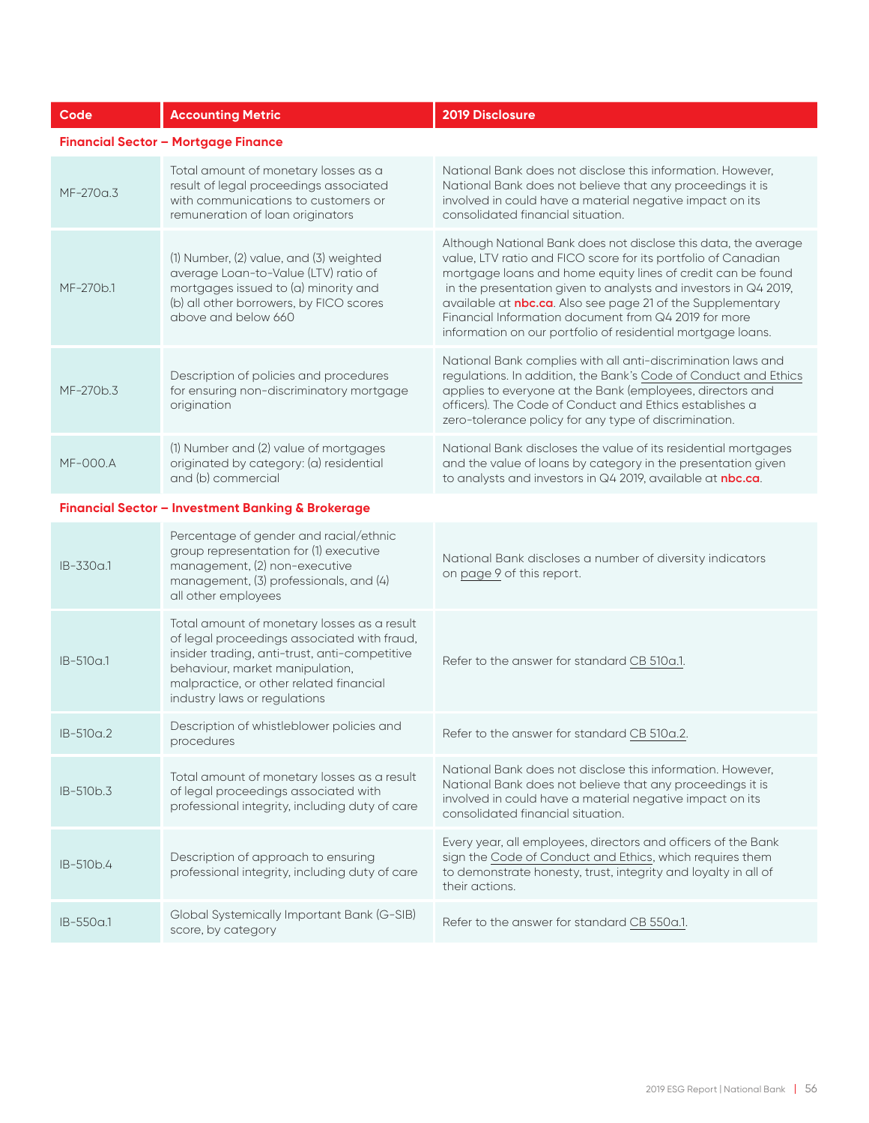| Code            | <b>Accounting Metric</b>                                                                                                                                                                                                                                  | 2019 Disclosure                                                                                                                                                                                                                                                                                                                                                                                                                                         |
|-----------------|-----------------------------------------------------------------------------------------------------------------------------------------------------------------------------------------------------------------------------------------------------------|---------------------------------------------------------------------------------------------------------------------------------------------------------------------------------------------------------------------------------------------------------------------------------------------------------------------------------------------------------------------------------------------------------------------------------------------------------|
|                 | <b>Financial Sector - Mortgage Finance</b>                                                                                                                                                                                                                |                                                                                                                                                                                                                                                                                                                                                                                                                                                         |
| MF-270a.3       | Total amount of monetary losses as a<br>result of legal proceedings associated<br>with communications to customers or<br>remuneration of loan originators                                                                                                 | National Bank does not disclose this information. However,<br>National Bank does not believe that any proceedings it is<br>involved in could have a material negative impact on its<br>consolidated financial situation.                                                                                                                                                                                                                                |
| MF-270b.1       | (1) Number, (2) value, and (3) weighted<br>average Loan-to-Value (LTV) ratio of<br>mortgages issued to (a) minority and<br>(b) all other borrowers, by FICO scores<br>above and below 660                                                                 | Although National Bank does not disclose this data, the average<br>value, LTV ratio and FICO score for its portfolio of Canadian<br>mortgage loans and home equity lines of credit can be found<br>in the presentation given to analysts and investors in Q4 2019,<br>available at nbc.ca. Also see page 21 of the Supplementary<br>Financial Information document from Q4 2019 for more<br>information on our portfolio of residential mortgage loans. |
| MF-270b.3       | Description of policies and procedures<br>for ensuring non-discriminatory mortgage<br>origination                                                                                                                                                         | National Bank complies with all anti-discrimination laws and<br>regulations. In addition, the Bank's Code of Conduct and Ethics<br>applies to everyone at the Bank (employees, directors and<br>officers). The Code of Conduct and Ethics establishes a<br>zero-tolerance policy for any type of discrimination.                                                                                                                                        |
| <b>MF-000.A</b> | (1) Number and (2) value of mortgages<br>originated by category: (a) residential<br>and (b) commercial                                                                                                                                                    | National Bank discloses the value of its residential mortgages<br>and the value of loans by category in the presentation given<br>to analysts and investors in Q4 2019, available at nbc.ca.                                                                                                                                                                                                                                                            |
|                 | <b>Financial Sector - Investment Banking &amp; Brokerage</b>                                                                                                                                                                                              |                                                                                                                                                                                                                                                                                                                                                                                                                                                         |
| $IB-330a.1$     | Percentage of gender and racial/ethnic<br>group representation for (1) executive<br>management, (2) non-executive<br>management, (3) professionals, and (4)<br>all other employees                                                                        | National Bank discloses a number of diversity indicators<br>on page 9 of this report.                                                                                                                                                                                                                                                                                                                                                                   |
| $IB-510a.1$     | Total amount of monetary losses as a result<br>of legal proceedings associated with fraud,<br>insider trading, anti-trust, anti-competitive<br>behaviour, market manipulation,<br>malpractice, or other related financial<br>industry laws or regulations | Refer to the answer for standard CB 510a.1.                                                                                                                                                                                                                                                                                                                                                                                                             |
| IB-510a.2       | Description of whistleblower policies and<br>procedures                                                                                                                                                                                                   | Refer to the answer for standard CB 510a.2.                                                                                                                                                                                                                                                                                                                                                                                                             |
| IB-510b.3       | Total amount of monetary losses as a result<br>of legal proceedings associated with<br>professional integrity, including duty of care                                                                                                                     | National Bank does not disclose this information. However,<br>National Bank does not believe that any proceedings it is<br>involved in could have a material negative impact on its<br>consolidated financial situation.                                                                                                                                                                                                                                |
| IB-510b.4       | Description of approach to ensuring<br>professional integrity, including duty of care                                                                                                                                                                     | Every year, all employees, directors and officers of the Bank<br>sign the Code of Conduct and Ethics, which requires them<br>to demonstrate honesty, trust, integrity and loyalty in all of<br>their actions.                                                                                                                                                                                                                                           |
| IB-550a.1       | Global Systemically Important Bank (G-SIB)<br>score, by category                                                                                                                                                                                          | Refer to the answer for standard CB 550a.1.                                                                                                                                                                                                                                                                                                                                                                                                             |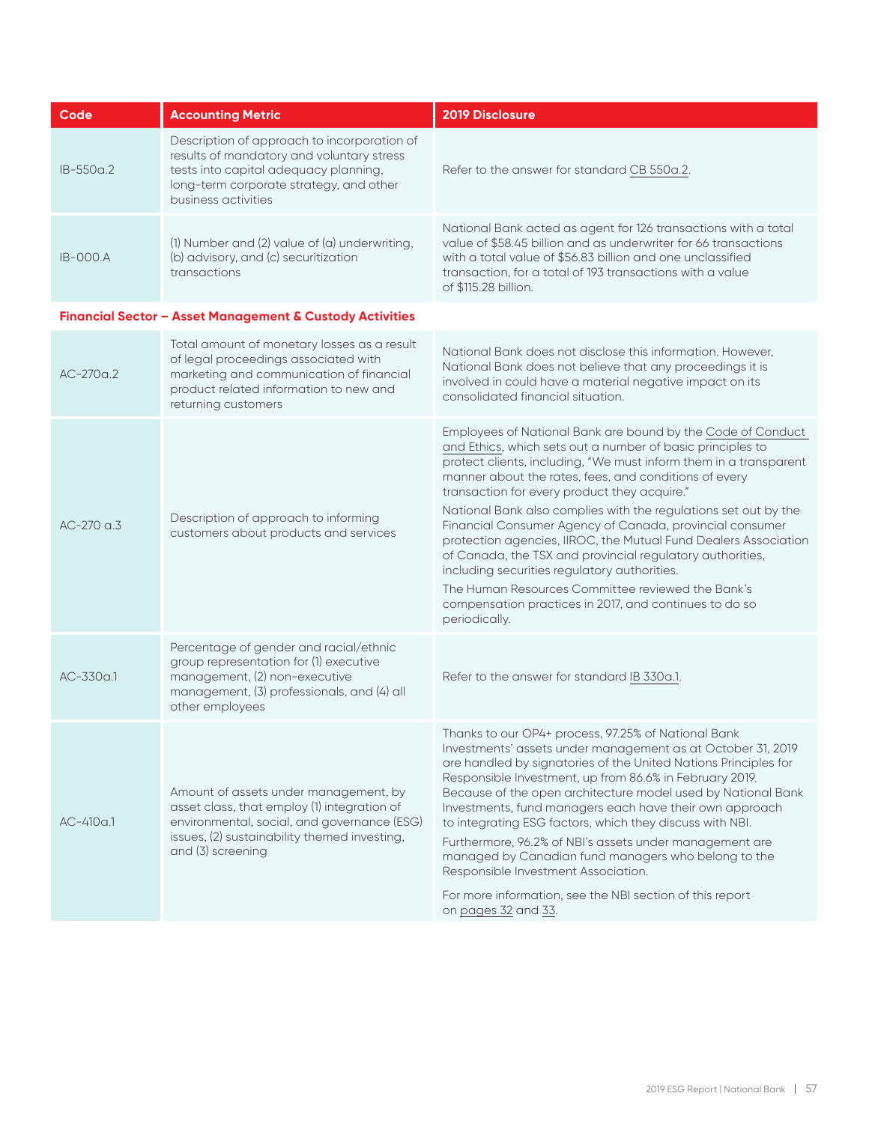| Code        | <b>Accounting Metric</b>                                                                                                                                                                                 | <b>2019 Disclosure</b>                                                                                                                                                                                                                                                                                                                                                                                                                                                                                                                                                                                                                                                                                                                                 |
|-------------|----------------------------------------------------------------------------------------------------------------------------------------------------------------------------------------------------------|--------------------------------------------------------------------------------------------------------------------------------------------------------------------------------------------------------------------------------------------------------------------------------------------------------------------------------------------------------------------------------------------------------------------------------------------------------------------------------------------------------------------------------------------------------------------------------------------------------------------------------------------------------------------------------------------------------------------------------------------------------|
| IB-550a.2   | Description of approach to incorporation of<br>results of mandatory and voluntary stress<br>tests into capital adequacy planning,<br>long-term corporate strategy, and other<br>business activities      | Refer to the answer for standard CB 550a.2.                                                                                                                                                                                                                                                                                                                                                                                                                                                                                                                                                                                                                                                                                                            |
| $IB-OOOA$   | (1) Number and (2) value of (a) underwriting,<br>(b) advisory, and (c) securitization<br>transactions                                                                                                    | National Bank acted as agent for 126 transactions with a total<br>value of \$58.45 billion and as underwriter for 66 transactions<br>with a total value of \$56.83 billion and one unclassified<br>transaction, for a total of 193 transactions with a value<br>of \$115.28 billion.                                                                                                                                                                                                                                                                                                                                                                                                                                                                   |
|             | Financial Sector - Asset Management & Custody Activities                                                                                                                                                 |                                                                                                                                                                                                                                                                                                                                                                                                                                                                                                                                                                                                                                                                                                                                                        |
| $AC-270a.2$ | Total amount of monetary losses as a result<br>of legal proceedings associated with<br>marketing and communication of financial<br>product related information to new and<br>returning customers         | National Bank does not disclose this information. However,<br>National Bank does not believe that any proceedings it is<br>involved in could have a material negative impact on its<br>consolidated financial situation.                                                                                                                                                                                                                                                                                                                                                                                                                                                                                                                               |
| $AC-270a.3$ | Description of approach to informing<br>customers about products and services                                                                                                                            | Employees of National Bank are bound by the Code of Conduct<br>and Ethics, which sets out a number of basic principles to<br>protect clients, including, "We must inform them in a transparent<br>manner about the rates, fees, and conditions of every<br>transaction for every product they acquire."<br>National Bank also complies with the regulations set out by the<br>Financial Consumer Agency of Canada, provincial consumer<br>protection agencies, IIROC, the Mutual Fund Dealers Association<br>of Canada, the TSX and provincial regulatory authorities,<br>including securities regulatory authorities.<br>The Human Resources Committee reviewed the Bank's<br>compensation practices in 2017, and continues to do so<br>periodically. |
| $AC-330a.1$ | Percentage of gender and racial/ethnic<br>group representation for (1) executive<br>management, (2) non-executive<br>management, (3) professionals, and (4) all<br>other employees                       | Refer to the answer for standard IB 330a.1.                                                                                                                                                                                                                                                                                                                                                                                                                                                                                                                                                                                                                                                                                                            |
| $AC-410a.1$ | Amount of assets under management, by<br>asset class, that employ (1) integration of<br>environmental, social, and governance (ESG)<br>issues, (2) sustainability themed investing,<br>and (3) screening | Thanks to our OP4+ process, 97.25% of National Bank<br>Investments' assets under management as at October 31, 2019<br>are handled by signatories of the United Nations Principles for<br>Responsible Investment, up from 86.6% in February 2019.<br>Because of the open architecture model used by National Bank<br>Investments, fund managers each have their own approach<br>to integrating ESG factors, which they discuss with NBI.<br>Furthermore, 96.2% of NBI's assets under management are<br>managed by Canadian fund managers who belong to the<br>Responsible Investment Association.<br>For more information, see the NBI section of this report<br>on pages 32 and 33.                                                                    |